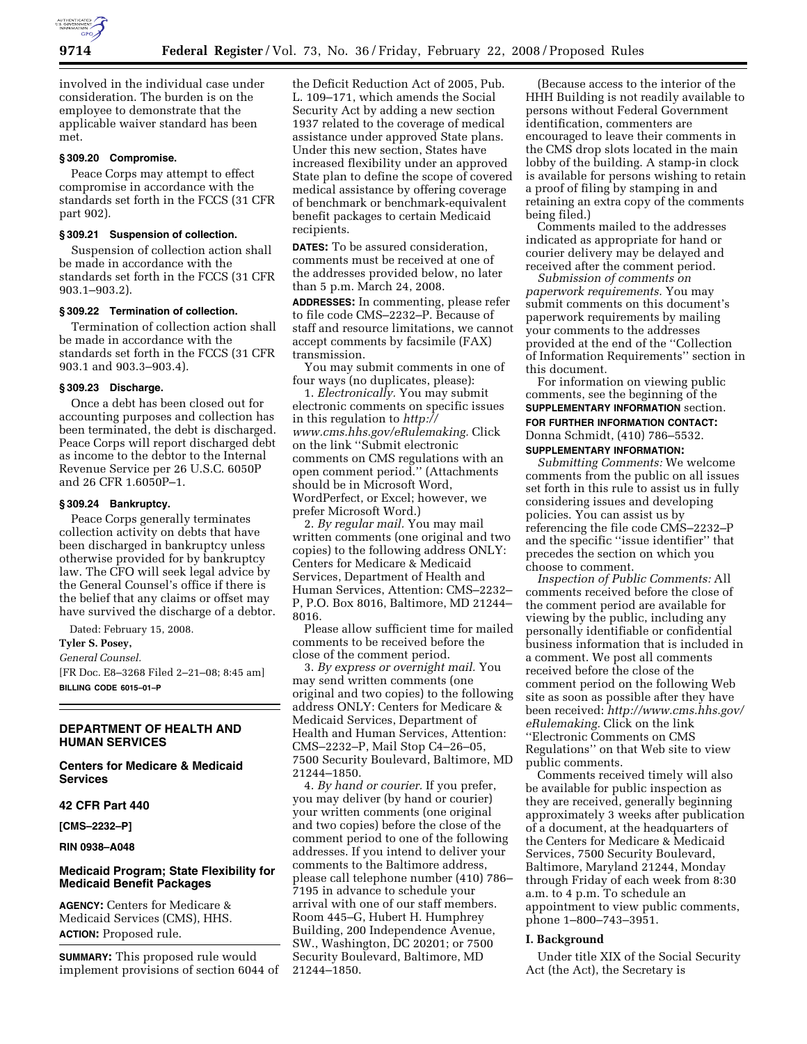

involved in the individual case under consideration. The burden is on the employee to demonstrate that the applicable waiver standard has been met.

# **§ 309.20 Compromise.**

Peace Corps may attempt to effect compromise in accordance with the standards set forth in the FCCS (31 CFR part 902).

#### **§ 309.21 Suspension of collection.**

Suspension of collection action shall be made in accordance with the standards set forth in the FCCS (31 CFR 903.1–903.2).

# **§ 309.22 Termination of collection.**

Termination of collection action shall be made in accordance with the standards set forth in the FCCS (31 CFR 903.1 and 903.3–903.4).

#### **§ 309.23 Discharge.**

Once a debt has been closed out for accounting purposes and collection has been terminated, the debt is discharged. Peace Corps will report discharged debt as income to the debtor to the Internal Revenue Service per 26 U.S.C. 6050P and 26 CFR 1.6050P–1.

#### **§ 309.24 Bankruptcy.**

Peace Corps generally terminates collection activity on debts that have been discharged in bankruptcy unless otherwise provided for by bankruptcy law. The CFO will seek legal advice by the General Counsel's office if there is the belief that any claims or offset may have survived the discharge of a debtor.

Dated: February 15, 2008.

# **Tyler S. Posey,**

*General Counsel.* 

[FR Doc. E8–3268 Filed 2–21–08; 8:45 am] **BILLING CODE 6015–01–P** 

# **DEPARTMENT OF HEALTH AND HUMAN SERVICES**

**Centers for Medicare & Medicaid Services** 

#### **42 CFR Part 440**

**[CMS–2232–P]** 

### **RIN 0938–A048**

# **Medicaid Program; State Flexibility for Medicaid Benefit Packages**

**AGENCY:** Centers for Medicare & Medicaid Services (CMS), HHS. **ACTION:** Proposed rule.

**SUMMARY:** This proposed rule would implement provisions of section 6044 of the Deficit Reduction Act of 2005, Pub. L. 109–171, which amends the Social Security Act by adding a new section 1937 related to the coverage of medical assistance under approved State plans. Under this new section, States have increased flexibility under an approved State plan to define the scope of covered medical assistance by offering coverage of benchmark or benchmark-equivalent benefit packages to certain Medicaid recipients.

**DATES:** To be assured consideration, comments must be received at one of the addresses provided below, no later than 5 p.m. March 24, 2008.

**ADDRESSES:** In commenting, please refer to file code CMS–2232–P. Because of staff and resource limitations, we cannot accept comments by facsimile (FAX) transmission.

You may submit comments in one of four ways (no duplicates, please):

1. *Electronically.* You may submit electronic comments on specific issues in this regulation to *http:// www.cms.hhs.gov/eRulemaking.* Click on the link ''Submit electronic comments on CMS regulations with an open comment period.'' (Attachments should be in Microsoft Word, WordPerfect, or Excel; however, we prefer Microsoft Word.)

2. *By regular mail.* You may mail written comments (one original and two copies) to the following address ONLY: Centers for Medicare & Medicaid Services, Department of Health and Human Services, Attention: CMS–2232– P, P.O. Box 8016, Baltimore, MD 21244– 8016.

Please allow sufficient time for mailed comments to be received before the close of the comment period.

3. *By express or overnight mail.* You may send written comments (one original and two copies) to the following address ONLY: Centers for Medicare & Medicaid Services, Department of Health and Human Services, Attention: CMS–2232–P, Mail Stop C4–26–05, 7500 Security Boulevard, Baltimore, MD 21244–1850.

4. *By hand or courier.* If you prefer, you may deliver (by hand or courier) your written comments (one original and two copies) before the close of the comment period to one of the following addresses. If you intend to deliver your comments to the Baltimore address, please call telephone number (410) 786– 7195 in advance to schedule your arrival with one of our staff members. Room 445–G, Hubert H. Humphrey Building, 200 Independence Avenue, SW., Washington, DC 20201; or 7500 Security Boulevard, Baltimore, MD 21244–1850.

(Because access to the interior of the HHH Building is not readily available to persons without Federal Government identification, commenters are encouraged to leave their comments in the CMS drop slots located in the main lobby of the building. A stamp-in clock is available for persons wishing to retain a proof of filing by stamping in and retaining an extra copy of the comments being filed.)

Comments mailed to the addresses indicated as appropriate for hand or courier delivery may be delayed and received after the comment period.

*Submission of comments on paperwork requirements.* You may submit comments on this document's paperwork requirements by mailing your comments to the addresses provided at the end of the ''Collection of Information Requirements'' section in this document.

For information on viewing public comments, see the beginning of the **SUPPLEMENTARY INFORMATION** section. **FOR FURTHER INFORMATION CONTACT:**  Donna Schmidt, (410) 786–5532.

# **SUPPLEMENTARY INFORMATION:**

*Submitting Comments:* We welcome comments from the public on all issues set forth in this rule to assist us in fully considering issues and developing policies. You can assist us by referencing the file code CMS–2232–P and the specific ''issue identifier'' that precedes the section on which you choose to comment.

*Inspection of Public Comments:* All comments received before the close of the comment period are available for viewing by the public, including any personally identifiable or confidential business information that is included in a comment. We post all comments received before the close of the comment period on the following Web site as soon as possible after they have been received: *http://www.cms.hhs.gov/ eRulemaking.* Click on the link ''Electronic Comments on CMS Regulations'' on that Web site to view public comments.

Comments received timely will also be available for public inspection as they are received, generally beginning approximately 3 weeks after publication of a document, at the headquarters of the Centers for Medicare & Medicaid Services, 7500 Security Boulevard, Baltimore, Maryland 21244, Monday through Friday of each week from 8:30 a.m. to 4 p.m. To schedule an appointment to view public comments, phone 1–800–743–3951.

# **I. Background**

Under title XIX of the Social Security Act (the Act), the Secretary is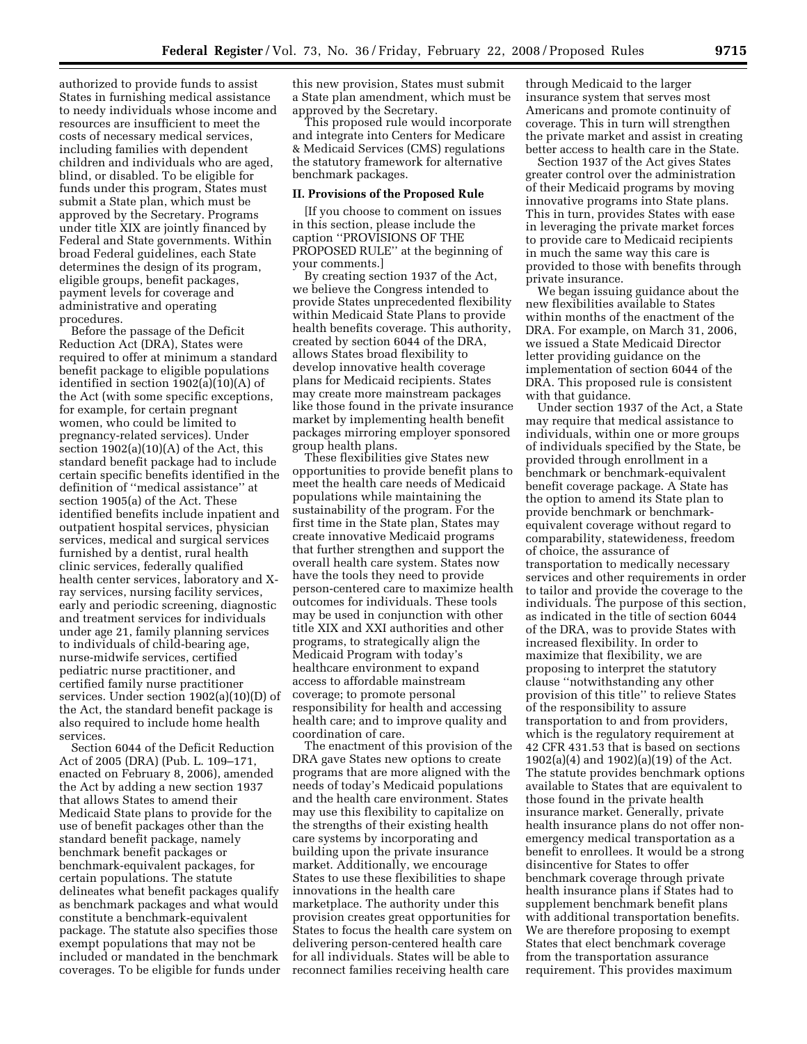authorized to provide funds to assist States in furnishing medical assistance to needy individuals whose income and resources are insufficient to meet the costs of necessary medical services, including families with dependent children and individuals who are aged, blind, or disabled. To be eligible for funds under this program, States must submit a State plan, which must be approved by the Secretary. Programs under title XIX are jointly financed by Federal and State governments. Within broad Federal guidelines, each State determines the design of its program, eligible groups, benefit packages, payment levels for coverage and administrative and operating procedures.

Before the passage of the Deficit Reduction Act (DRA), States were required to offer at minimum a standard benefit package to eligible populations identified in section 1902(a)(10)(A) of the Act (with some specific exceptions, for example, for certain pregnant women, who could be limited to pregnancy-related services). Under section  $1902(a)(10)(A)$  of the Act, this standard benefit package had to include certain specific benefits identified in the definition of ''medical assistance'' at section 1905(a) of the Act. These identified benefits include inpatient and outpatient hospital services, physician services, medical and surgical services furnished by a dentist, rural health clinic services, federally qualified health center services, laboratory and Xray services, nursing facility services, early and periodic screening, diagnostic and treatment services for individuals under age 21, family planning services to individuals of child-bearing age, nurse-midwife services, certified pediatric nurse practitioner, and certified family nurse practitioner services. Under section 1902(a)(10)(D) of the Act, the standard benefit package is also required to include home health services.

Section 6044 of the Deficit Reduction Act of 2005 (DRA) (Pub. L. 109–171, enacted on February 8, 2006), amended the Act by adding a new section 1937 that allows States to amend their Medicaid State plans to provide for the use of benefit packages other than the standard benefit package, namely benchmark benefit packages or benchmark-equivalent packages, for certain populations. The statute delineates what benefit packages qualify as benchmark packages and what would constitute a benchmark-equivalent package. The statute also specifies those exempt populations that may not be included or mandated in the benchmark coverages. To be eligible for funds under

this new provision, States must submit a State plan amendment, which must be approved by the Secretary.

This proposed rule would incorporate and integrate into Centers for Medicare & Medicaid Services (CMS) regulations the statutory framework for alternative benchmark packages.

### **II. Provisions of the Proposed Rule**

[If you choose to comment on issues in this section, please include the caption ''PROVISIONS OF THE PROPOSED RULE'' at the beginning of your comments.]

By creating section 1937 of the Act, we believe the Congress intended to provide States unprecedented flexibility within Medicaid State Plans to provide health benefits coverage. This authority, created by section 6044 of the DRA, allows States broad flexibility to develop innovative health coverage plans for Medicaid recipients. States may create more mainstream packages like those found in the private insurance market by implementing health benefit packages mirroring employer sponsored group health plans.

These flexibilities give States new opportunities to provide benefit plans to meet the health care needs of Medicaid populations while maintaining the sustainability of the program. For the first time in the State plan, States may create innovative Medicaid programs that further strengthen and support the overall health care system. States now have the tools they need to provide person-centered care to maximize health outcomes for individuals. These tools may be used in conjunction with other title XIX and XXI authorities and other programs, to strategically align the Medicaid Program with today's healthcare environment to expand access to affordable mainstream coverage; to promote personal responsibility for health and accessing health care; and to improve quality and coordination of care.

The enactment of this provision of the DRA gave States new options to create programs that are more aligned with the needs of today's Medicaid populations and the health care environment. States may use this flexibility to capitalize on the strengths of their existing health care systems by incorporating and building upon the private insurance market. Additionally, we encourage States to use these flexibilities to shape innovations in the health care marketplace. The authority under this provision creates great opportunities for States to focus the health care system on delivering person-centered health care for all individuals. States will be able to reconnect families receiving health care

through Medicaid to the larger insurance system that serves most Americans and promote continuity of coverage. This in turn will strengthen the private market and assist in creating better access to health care in the State.

Section 1937 of the Act gives States greater control over the administration of their Medicaid programs by moving innovative programs into State plans. This in turn, provides States with ease in leveraging the private market forces to provide care to Medicaid recipients in much the same way this care is provided to those with benefits through private insurance.

We began issuing guidance about the new flexibilities available to States within months of the enactment of the DRA. For example, on March 31, 2006, we issued a State Medicaid Director letter providing guidance on the implementation of section 6044 of the DRA. This proposed rule is consistent with that guidance.

Under section 1937 of the Act, a State may require that medical assistance to individuals, within one or more groups of individuals specified by the State, be provided through enrollment in a benchmark or benchmark-equivalent benefit coverage package. A State has the option to amend its State plan to provide benchmark or benchmarkequivalent coverage without regard to comparability, statewideness, freedom of choice, the assurance of transportation to medically necessary services and other requirements in order to tailor and provide the coverage to the individuals. The purpose of this section, as indicated in the title of section 6044 of the DRA, was to provide States with increased flexibility. In order to maximize that flexibility, we are proposing to interpret the statutory clause ''notwithstanding any other provision of this title'' to relieve States of the responsibility to assure transportation to and from providers, which is the regulatory requirement at 42 CFR 431.53 that is based on sections 1902(a)(4) and 1902)(a)(19) of the Act. The statute provides benchmark options available to States that are equivalent to those found in the private health insurance market. Generally, private health insurance plans do not offer nonemergency medical transportation as a benefit to enrollees. It would be a strong disincentive for States to offer benchmark coverage through private health insurance plans if States had to supplement benchmark benefit plans with additional transportation benefits. We are therefore proposing to exempt States that elect benchmark coverage from the transportation assurance requirement. This provides maximum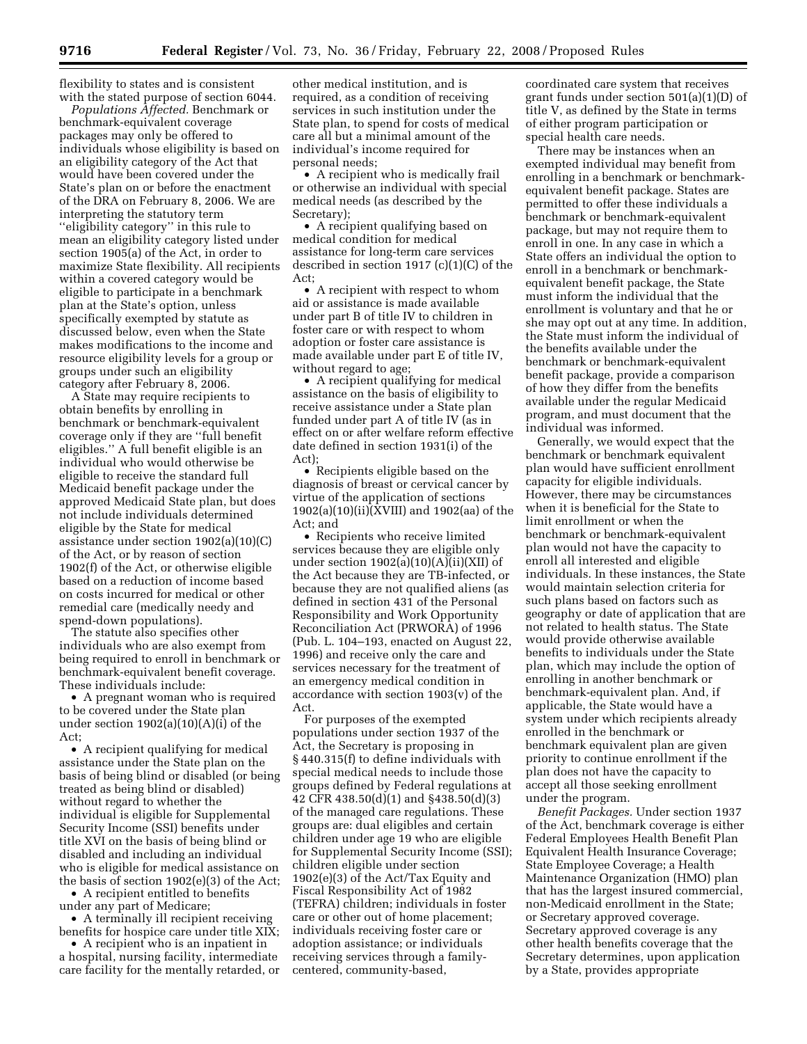flexibility to states and is consistent with the stated purpose of section 6044.

*Populations Affected.* Benchmark or benchmark-equivalent coverage packages may only be offered to individuals whose eligibility is based on an eligibility category of the Act that would have been covered under the State's plan on or before the enactment of the DRA on February 8, 2006. We are interpreting the statutory term ''eligibility category'' in this rule to mean an eligibility category listed under section 1905(a) of the Act, in order to maximize State flexibility. All recipients within a covered category would be eligible to participate in a benchmark plan at the State's option, unless specifically exempted by statute as discussed below, even when the State makes modifications to the income and resource eligibility levels for a group or groups under such an eligibility category after February 8, 2006.

A State may require recipients to obtain benefits by enrolling in benchmark or benchmark-equivalent coverage only if they are ''full benefit eligibles.'' A full benefit eligible is an individual who would otherwise be eligible to receive the standard full Medicaid benefit package under the approved Medicaid State plan, but does not include individuals determined eligible by the State for medical assistance under section 1902(a)(10)(C) of the Act, or by reason of section 1902(f) of the Act, or otherwise eligible based on a reduction of income based on costs incurred for medical or other remedial care (medically needy and spend-down populations).

The statute also specifies other individuals who are also exempt from being required to enroll in benchmark or benchmark-equivalent benefit coverage. These individuals include:

• A pregnant woman who is required to be covered under the State plan under section 1902(a)(10)(A)(i) of the Act;

• A recipient qualifying for medical assistance under the State plan on the basis of being blind or disabled (or being treated as being blind or disabled) without regard to whether the individual is eligible for Supplemental Security Income (SSI) benefits under title XVI on the basis of being blind or disabled and including an individual who is eligible for medical assistance on the basis of section 1902(e)(3) of the Act;

• A recipient entitled to benefits under any part of Medicare;

• A terminally ill recipient receiving benefits for hospice care under title XIX;

• A recipient who is an inpatient in a hospital, nursing facility, intermediate care facility for the mentally retarded, or

other medical institution, and is required, as a condition of receiving services in such institution under the State plan, to spend for costs of medical care all but a minimal amount of the individual's income required for personal needs;

• A recipient who is medically frail or otherwise an individual with special medical needs (as described by the Secretary);

• A recipient qualifying based on medical condition for medical assistance for long-term care services described in section 1917 (c)(1)(C) of the Act;

• A recipient with respect to whom aid or assistance is made available under part B of title IV to children in foster care or with respect to whom adoption or foster care assistance is made available under part E of title IV, without regard to age;

• A recipient qualifying for medical assistance on the basis of eligibility to receive assistance under a State plan funded under part A of title IV (as in effect on or after welfare reform effective date defined in section 1931(i) of the Act);

• Recipients eligible based on the diagnosis of breast or cervical cancer by virtue of the application of sections 1902(a)(10)(ii)(XVIII) and 1902(aa) of the Act; and

• Recipients who receive limited services because they are eligible only under section  $1902(a)(10)(A)(ii)(XII)$  of the Act because they are TB-infected, or because they are not qualified aliens (as defined in section 431 of the Personal Responsibility and Work Opportunity Reconciliation Act (PRWORA) of 1996 (Pub. L. 104–193, enacted on August 22, 1996) and receive only the care and services necessary for the treatment of an emergency medical condition in accordance with section 1903(v) of the Act.

For purposes of the exempted populations under section 1937 of the Act, the Secretary is proposing in § 440.315(f) to define individuals with special medical needs to include those groups defined by Federal regulations at 42 CFR 438.50(d)(1) and §438.50(d)(3) of the managed care regulations. These groups are: dual eligibles and certain children under age 19 who are eligible for Supplemental Security Income (SSI); children eligible under section 1902(e)(3) of the Act/Tax Equity and Fiscal Responsibility Act of 1982 (TEFRA) children; individuals in foster care or other out of home placement; individuals receiving foster care or adoption assistance; or individuals receiving services through a familycentered, community-based,

coordinated care system that receives grant funds under section 501(a)(1)(D) of title V, as defined by the State in terms of either program participation or special health care needs.

There may be instances when an exempted individual may benefit from enrolling in a benchmark or benchmarkequivalent benefit package. States are permitted to offer these individuals a benchmark or benchmark-equivalent package, but may not require them to enroll in one. In any case in which a State offers an individual the option to enroll in a benchmark or benchmarkequivalent benefit package, the State must inform the individual that the enrollment is voluntary and that he or she may opt out at any time. In addition, the State must inform the individual of the benefits available under the benchmark or benchmark-equivalent benefit package, provide a comparison of how they differ from the benefits available under the regular Medicaid program, and must document that the individual was informed.

Generally, we would expect that the benchmark or benchmark equivalent plan would have sufficient enrollment capacity for eligible individuals. However, there may be circumstances when it is beneficial for the State to limit enrollment or when the benchmark or benchmark-equivalent plan would not have the capacity to enroll all interested and eligible individuals. In these instances, the State would maintain selection criteria for such plans based on factors such as geography or date of application that are not related to health status. The State would provide otherwise available benefits to individuals under the State plan, which may include the option of enrolling in another benchmark or benchmark-equivalent plan. And, if applicable, the State would have a system under which recipients already enrolled in the benchmark or benchmark equivalent plan are given priority to continue enrollment if the plan does not have the capacity to accept all those seeking enrollment under the program.

*Benefit Packages.* Under section 1937 of the Act, benchmark coverage is either Federal Employees Health Benefit Plan Equivalent Health Insurance Coverage; State Employee Coverage; a Health Maintenance Organization (HMO) plan that has the largest insured commercial, non-Medicaid enrollment in the State; or Secretary approved coverage. Secretary approved coverage is any other health benefits coverage that the Secretary determines, upon application by a State, provides appropriate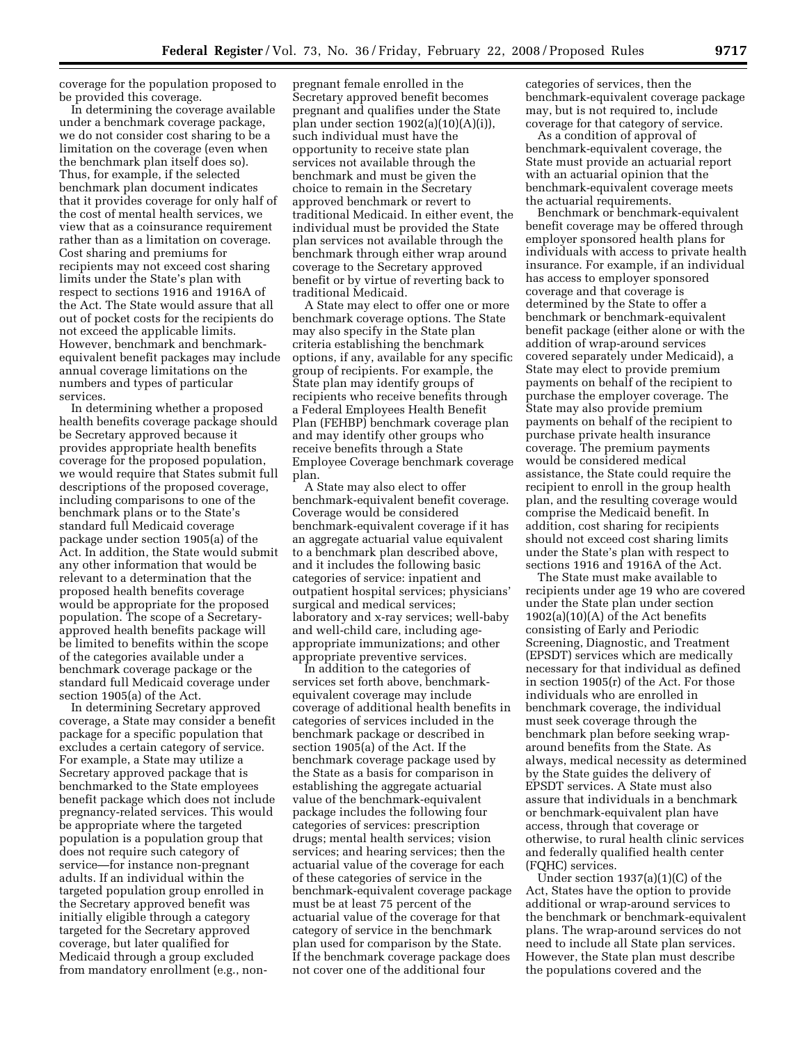coverage for the population proposed to be provided this coverage.

In determining the coverage available under a benchmark coverage package, we do not consider cost sharing to be a limitation on the coverage (even when the benchmark plan itself does so). Thus, for example, if the selected benchmark plan document indicates that it provides coverage for only half of the cost of mental health services, we view that as a coinsurance requirement rather than as a limitation on coverage. Cost sharing and premiums for recipients may not exceed cost sharing limits under the State's plan with respect to sections 1916 and 1916A of the Act. The State would assure that all out of pocket costs for the recipients do not exceed the applicable limits. However, benchmark and benchmarkequivalent benefit packages may include annual coverage limitations on the numbers and types of particular services.

In determining whether a proposed health benefits coverage package should be Secretary approved because it provides appropriate health benefits coverage for the proposed population, we would require that States submit full descriptions of the proposed coverage, including comparisons to one of the benchmark plans or to the State's standard full Medicaid coverage package under section 1905(a) of the Act. In addition, the State would submit any other information that would be relevant to a determination that the proposed health benefits coverage would be appropriate for the proposed population. The scope of a Secretaryapproved health benefits package will be limited to benefits within the scope of the categories available under a benchmark coverage package or the standard full Medicaid coverage under section 1905(a) of the Act.

In determining Secretary approved coverage, a State may consider a benefit package for a specific population that excludes a certain category of service. For example, a State may utilize a Secretary approved package that is benchmarked to the State employees benefit package which does not include pregnancy-related services. This would be appropriate where the targeted population is a population group that does not require such category of service—for instance non-pregnant adults. If an individual within the targeted population group enrolled in the Secretary approved benefit was initially eligible through a category targeted for the Secretary approved coverage, but later qualified for Medicaid through a group excluded from mandatory enrollment (e.g., non-

pregnant female enrolled in the Secretary approved benefit becomes pregnant and qualifies under the State plan under section  $1902(a)(10)(A)(i)$ , such individual must have the opportunity to receive state plan services not available through the benchmark and must be given the choice to remain in the Secretary approved benchmark or revert to traditional Medicaid. In either event, the individual must be provided the State plan services not available through the benchmark through either wrap around coverage to the Secretary approved benefit or by virtue of reverting back to traditional Medicaid.

A State may elect to offer one or more benchmark coverage options. The State may also specify in the State plan criteria establishing the benchmark options, if any, available for any specific group of recipients. For example, the State plan may identify groups of recipients who receive benefits through a Federal Employees Health Benefit Plan (FEHBP) benchmark coverage plan and may identify other groups who receive benefits through a State Employee Coverage benchmark coverage plan.

A State may also elect to offer benchmark-equivalent benefit coverage. Coverage would be considered benchmark-equivalent coverage if it has an aggregate actuarial value equivalent to a benchmark plan described above, and it includes the following basic categories of service: inpatient and outpatient hospital services; physicians' surgical and medical services; laboratory and x-ray services; well-baby and well-child care, including ageappropriate immunizations; and other appropriate preventive services.

In addition to the categories of services set forth above, benchmarkequivalent coverage may include coverage of additional health benefits in categories of services included in the benchmark package or described in section 1905(a) of the Act. If the benchmark coverage package used by the State as a basis for comparison in establishing the aggregate actuarial value of the benchmark-equivalent package includes the following four categories of services: prescription drugs; mental health services; vision services; and hearing services; then the actuarial value of the coverage for each of these categories of service in the benchmark-equivalent coverage package must be at least 75 percent of the actuarial value of the coverage for that category of service in the benchmark plan used for comparison by the State. If the benchmark coverage package does not cover one of the additional four

categories of services, then the benchmark-equivalent coverage package may, but is not required to, include coverage for that category of service.

As a condition of approval of benchmark-equivalent coverage, the State must provide an actuarial report with an actuarial opinion that the benchmark-equivalent coverage meets the actuarial requirements.

Benchmark or benchmark-equivalent benefit coverage may be offered through employer sponsored health plans for individuals with access to private health insurance. For example, if an individual has access to employer sponsored coverage and that coverage is determined by the State to offer a benchmark or benchmark-equivalent benefit package (either alone or with the addition of wrap-around services covered separately under Medicaid), a State may elect to provide premium payments on behalf of the recipient to purchase the employer coverage. The State may also provide premium payments on behalf of the recipient to purchase private health insurance coverage. The premium payments would be considered medical assistance, the State could require the recipient to enroll in the group health plan, and the resulting coverage would comprise the Medicaid benefit. In addition, cost sharing for recipients should not exceed cost sharing limits under the State's plan with respect to sections 1916 and 1916A of the Act.

The State must make available to recipients under age 19 who are covered under the State plan under section 1902(a)(10)(A) of the Act benefits consisting of Early and Periodic Screening, Diagnostic, and Treatment (EPSDT) services which are medically necessary for that individual as defined in section 1905(r) of the Act. For those individuals who are enrolled in benchmark coverage, the individual must seek coverage through the benchmark plan before seeking wraparound benefits from the State. As always, medical necessity as determined by the State guides the delivery of EPSDT services. A State must also assure that individuals in a benchmark or benchmark-equivalent plan have access, through that coverage or otherwise, to rural health clinic services and federally qualified health center (FQHC) services.

Under section 1937(a)(1)(C) of the Act, States have the option to provide additional or wrap-around services to the benchmark or benchmark-equivalent plans. The wrap-around services do not need to include all State plan services. However, the State plan must describe the populations covered and the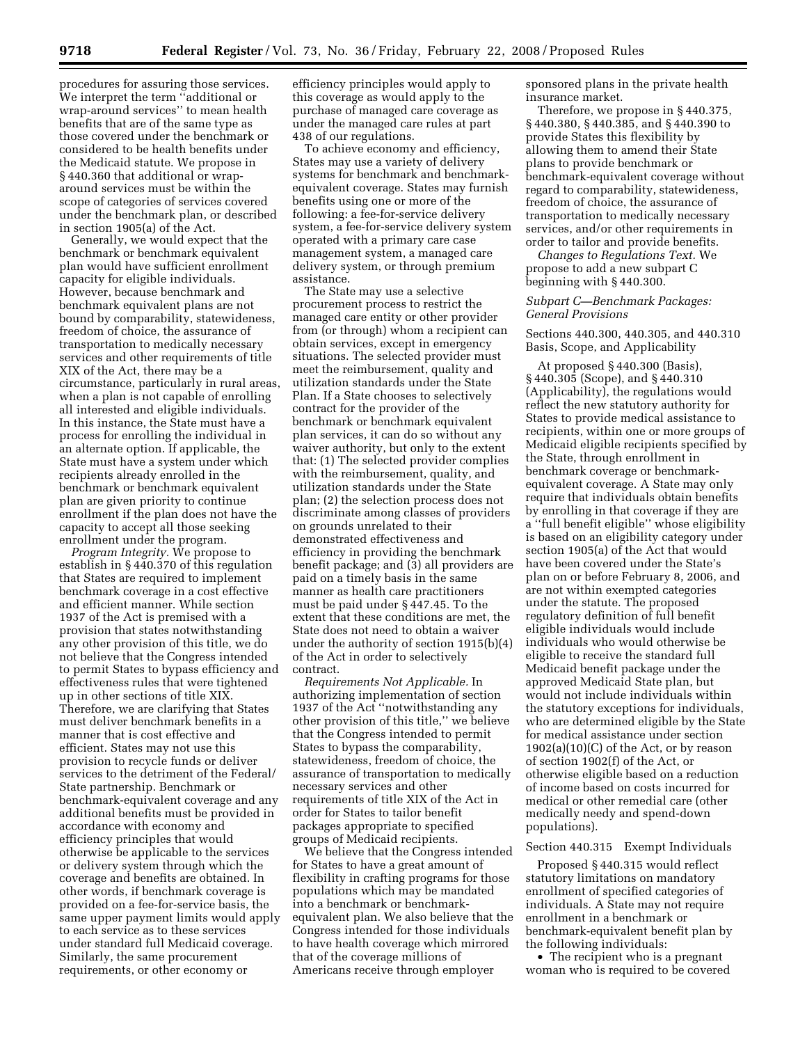procedures for assuring those services. We interpret the term ''additional or wrap-around services'' to mean health benefits that are of the same type as those covered under the benchmark or considered to be health benefits under the Medicaid statute. We propose in § 440.360 that additional or wraparound services must be within the scope of categories of services covered under the benchmark plan, or described in section 1905(a) of the Act.

Generally, we would expect that the benchmark or benchmark equivalent plan would have sufficient enrollment capacity for eligible individuals. However, because benchmark and benchmark equivalent plans are not bound by comparability, statewideness, freedom of choice, the assurance of transportation to medically necessary services and other requirements of title XIX of the Act, there may be a circumstance, particularly in rural areas, when a plan is not capable of enrolling all interested and eligible individuals. In this instance, the State must have a process for enrolling the individual in an alternate option. If applicable, the State must have a system under which recipients already enrolled in the benchmark or benchmark equivalent plan are given priority to continue enrollment if the plan does not have the capacity to accept all those seeking enrollment under the program.

*Program Integrity.* We propose to establish in § 440.370 of this regulation that States are required to implement benchmark coverage in a cost effective and efficient manner. While section 1937 of the Act is premised with a provision that states notwithstanding any other provision of this title, we do not believe that the Congress intended to permit States to bypass efficiency and effectiveness rules that were tightened up in other sections of title XIX. Therefore, we are clarifying that States must deliver benchmark benefits in a manner that is cost effective and efficient. States may not use this provision to recycle funds or deliver services to the detriment of the Federal/ State partnership. Benchmark or benchmark-equivalent coverage and any additional benefits must be provided in accordance with economy and efficiency principles that would otherwise be applicable to the services or delivery system through which the coverage and benefits are obtained. In other words, if benchmark coverage is provided on a fee-for-service basis, the same upper payment limits would apply to each service as to these services under standard full Medicaid coverage. Similarly, the same procurement requirements, or other economy or

efficiency principles would apply to this coverage as would apply to the purchase of managed care coverage as under the managed care rules at part 438 of our regulations.

To achieve economy and efficiency, States may use a variety of delivery systems for benchmark and benchmarkequivalent coverage. States may furnish benefits using one or more of the following: a fee-for-service delivery system, a fee-for-service delivery system operated with a primary care case management system, a managed care delivery system, or through premium assistance.

The State may use a selective procurement process to restrict the managed care entity or other provider from (or through) whom a recipient can obtain services, except in emergency situations. The selected provider must meet the reimbursement, quality and utilization standards under the State Plan. If a State chooses to selectively contract for the provider of the benchmark or benchmark equivalent plan services, it can do so without any waiver authority, but only to the extent that: (1) The selected provider complies with the reimbursement, quality, and utilization standards under the State plan; (2) the selection process does not discriminate among classes of providers on grounds unrelated to their demonstrated effectiveness and efficiency in providing the benchmark benefit package; and (3) all providers are paid on a timely basis in the same manner as health care practitioners must be paid under § 447.45. To the extent that these conditions are met, the State does not need to obtain a waiver under the authority of section 1915(b)(4) of the Act in order to selectively contract.

*Requirements Not Applicable.* In authorizing implementation of section 1937 of the Act ''notwithstanding any other provision of this title,'' we believe that the Congress intended to permit States to bypass the comparability, statewideness, freedom of choice, the assurance of transportation to medically necessary services and other requirements of title XIX of the Act in order for States to tailor benefit packages appropriate to specified groups of Medicaid recipients.

We believe that the Congress intended for States to have a great amount of flexibility in crafting programs for those populations which may be mandated into a benchmark or benchmarkequivalent plan. We also believe that the Congress intended for those individuals to have health coverage which mirrored that of the coverage millions of Americans receive through employer

sponsored plans in the private health insurance market.

Therefore, we propose in § 440.375, § 440.380, § 440.385, and § 440.390 to provide States this flexibility by allowing them to amend their State plans to provide benchmark or benchmark-equivalent coverage without regard to comparability, statewideness, freedom of choice, the assurance of transportation to medically necessary services, and/or other requirements in order to tailor and provide benefits.

*Changes to Regulations Text.* We propose to add a new subpart C beginning with § 440.300.

### *Subpart C—Benchmark Packages: General Provisions*

Sections 440.300, 440.305, and 440.310 Basis, Scope, and Applicability

At proposed § 440.300 (Basis), § 440.305 (Scope), and § 440.310 (Applicability), the regulations would reflect the new statutory authority for States to provide medical assistance to recipients, within one or more groups of Medicaid eligible recipients specified by the State, through enrollment in benchmark coverage or benchmarkequivalent coverage. A State may only require that individuals obtain benefits by enrolling in that coverage if they are a ''full benefit eligible'' whose eligibility is based on an eligibility category under section 1905(a) of the Act that would have been covered under the State's plan on or before February 8, 2006, and are not within exempted categories under the statute. The proposed regulatory definition of full benefit eligible individuals would include individuals who would otherwise be eligible to receive the standard full Medicaid benefit package under the approved Medicaid State plan, but would not include individuals within the statutory exceptions for individuals, who are determined eligible by the State for medical assistance under section  $1902(a)(10)(C)$  of the Act, or by reason of section 1902(f) of the Act, or otherwise eligible based on a reduction of income based on costs incurred for medical or other remedial care (other medically needy and spend-down populations).

# Section 440.315 Exempt Individuals

Proposed § 440.315 would reflect statutory limitations on mandatory enrollment of specified categories of individuals. A State may not require enrollment in a benchmark or benchmark-equivalent benefit plan by the following individuals:

• The recipient who is a pregnant woman who is required to be covered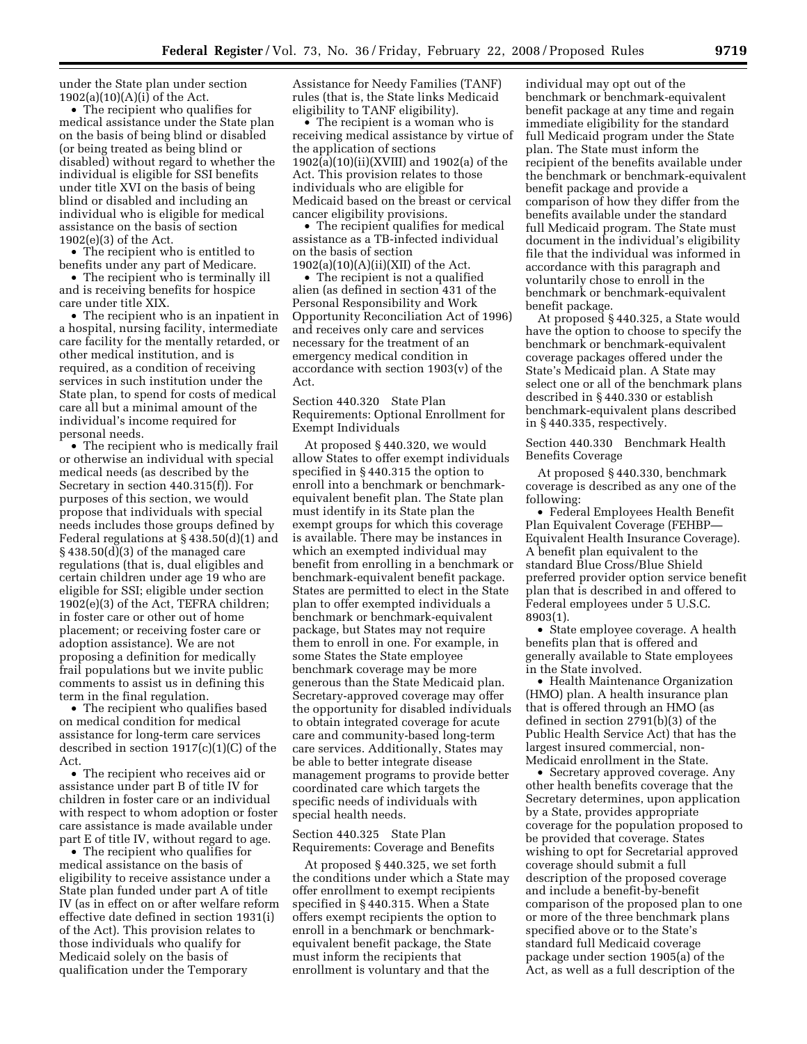under the State plan under section  $1902(a)(10)(A)(i)$  of the Act.

• The recipient who qualifies for medical assistance under the State plan on the basis of being blind or disabled (or being treated as being blind or disabled) without regard to whether the individual is eligible for SSI benefits under title XVI on the basis of being blind or disabled and including an individual who is eligible for medical assistance on the basis of section 1902(e)(3) of the Act.

• The recipient who is entitled to benefits under any part of Medicare.

• The recipient who is terminally ill and is receiving benefits for hospice care under title XIX.

• The recipient who is an inpatient in a hospital, nursing facility, intermediate care facility for the mentally retarded, or other medical institution, and is required, as a condition of receiving services in such institution under the State plan, to spend for costs of medical care all but a minimal amount of the individual's income required for personal needs.

• The recipient who is medically frail or otherwise an individual with special medical needs (as described by the Secretary in section 440.315(f)). For purposes of this section, we would propose that individuals with special needs includes those groups defined by Federal regulations at § 438.50(d)(1) and § 438.50(d)(3) of the managed care regulations (that is, dual eligibles and certain children under age 19 who are eligible for SSI; eligible under section 1902(e)(3) of the Act, TEFRA children; in foster care or other out of home placement; or receiving foster care or adoption assistance). We are not proposing a definition for medically frail populations but we invite public comments to assist us in defining this term in the final regulation.

• The recipient who qualifies based on medical condition for medical assistance for long-term care services described in section 1917(c)(1)(C) of the Act.

• The recipient who receives aid or assistance under part B of title IV for children in foster care or an individual with respect to whom adoption or foster care assistance is made available under part E of title IV, without regard to age.

• The recipient who qualifies for medical assistance on the basis of eligibility to receive assistance under a State plan funded under part A of title IV (as in effect on or after welfare reform effective date defined in section 1931(i) of the Act). This provision relates to those individuals who qualify for Medicaid solely on the basis of qualification under the Temporary

Assistance for Needy Families (TANF) rules (that is, the State links Medicaid eligibility to TANF eligibility).

• The recipient is a woman who is receiving medical assistance by virtue of the application of sections 1902(a)(10)(ii)(XVIII) and 1902(a) of the Act. This provision relates to those individuals who are eligible for Medicaid based on the breast or cervical cancer eligibility provisions.

• The recipient qualifies for medical assistance as a TB-infected individual on the basis of section 1902(a)(10)(A)(ii)(XII) of the Act.

• The recipient is not a qualified alien (as defined in section 431 of the Personal Responsibility and Work Opportunity Reconciliation Act of 1996) and receives only care and services necessary for the treatment of an emergency medical condition in accordance with section 1903(v) of the Act.

Section 440.320 State Plan Requirements: Optional Enrollment for Exempt Individuals

At proposed § 440.320, we would allow States to offer exempt individuals specified in § 440.315 the option to enroll into a benchmark or benchmarkequivalent benefit plan. The State plan must identify in its State plan the exempt groups for which this coverage is available. There may be instances in which an exempted individual may benefit from enrolling in a benchmark or benchmark-equivalent benefit package. States are permitted to elect in the State plan to offer exempted individuals a benchmark or benchmark-equivalent package, but States may not require them to enroll in one. For example, in some States the State employee benchmark coverage may be more generous than the State Medicaid plan. Secretary-approved coverage may offer the opportunity for disabled individuals to obtain integrated coverage for acute care and community-based long-term care services. Additionally, States may be able to better integrate disease management programs to provide better coordinated care which targets the specific needs of individuals with special health needs.

Section 440.325 State Plan Requirements: Coverage and Benefits

At proposed § 440.325, we set forth the conditions under which a State may offer enrollment to exempt recipients specified in § 440.315. When a State offers exempt recipients the option to enroll in a benchmark or benchmarkequivalent benefit package, the State must inform the recipients that enrollment is voluntary and that the

individual may opt out of the benchmark or benchmark-equivalent benefit package at any time and regain immediate eligibility for the standard full Medicaid program under the State plan. The State must inform the recipient of the benefits available under the benchmark or benchmark-equivalent benefit package and provide a comparison of how they differ from the benefits available under the standard full Medicaid program. The State must document in the individual's eligibility file that the individual was informed in accordance with this paragraph and voluntarily chose to enroll in the benchmark or benchmark-equivalent benefit package.

At proposed § 440.325, a State would have the option to choose to specify the benchmark or benchmark-equivalent coverage packages offered under the State's Medicaid plan. A State may select one or all of the benchmark plans described in § 440.330 or establish benchmark-equivalent plans described in § 440.335, respectively.

Section 440.330 Benchmark Health Benefits Coverage

At proposed § 440.330, benchmark coverage is described as any one of the following:

• Federal Employees Health Benefit Plan Equivalent Coverage (FEHBP— Equivalent Health Insurance Coverage). A benefit plan equivalent to the standard Blue Cross/Blue Shield preferred provider option service benefit plan that is described in and offered to Federal employees under 5 U.S.C. 8903(1).

• State employee coverage. A health benefits plan that is offered and generally available to State employees in the State involved.

• Health Maintenance Organization (HMO) plan. A health insurance plan that is offered through an HMO (as defined in section 2791(b)(3) of the Public Health Service Act) that has the largest insured commercial, non-Medicaid enrollment in the State.

• Secretary approved coverage. Any other health benefits coverage that the Secretary determines, upon application by a State, provides appropriate coverage for the population proposed to be provided that coverage. States wishing to opt for Secretarial approved coverage should submit a full description of the proposed coverage and include a benefit-by-benefit comparison of the proposed plan to one or more of the three benchmark plans specified above or to the State's standard full Medicaid coverage package under section 1905(a) of the Act, as well as a full description of the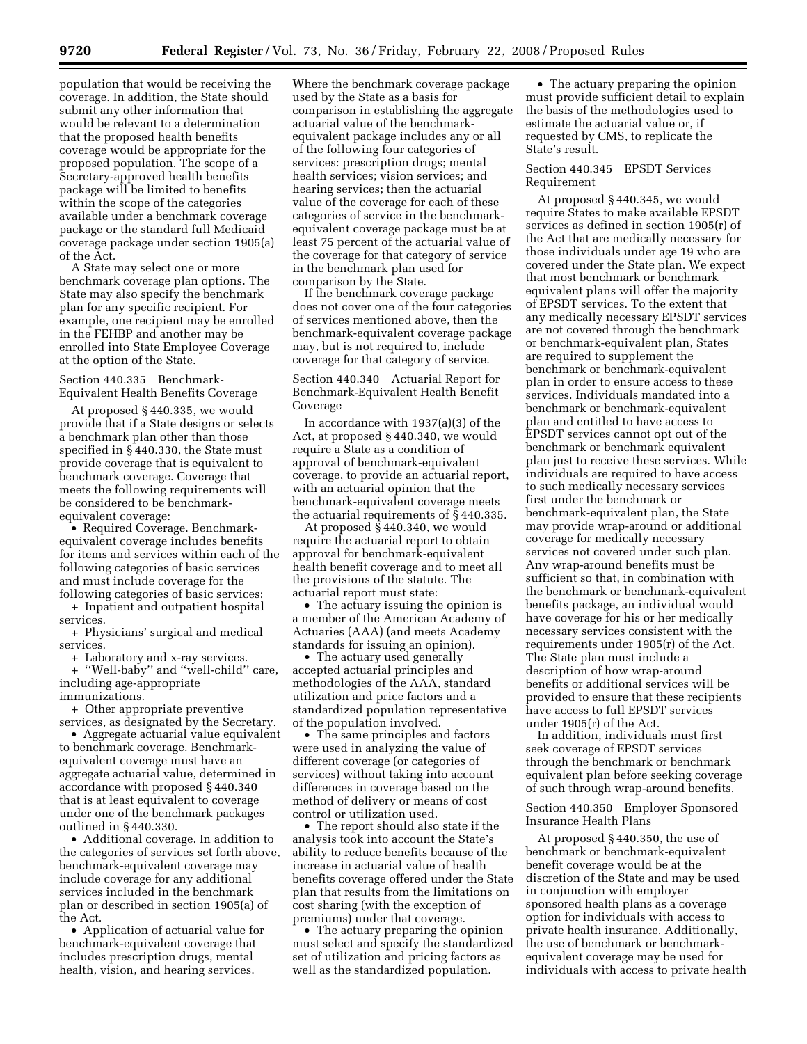population that would be receiving the coverage. In addition, the State should submit any other information that would be relevant to a determination that the proposed health benefits coverage would be appropriate for the proposed population. The scope of a Secretary-approved health benefits package will be limited to benefits within the scope of the categories available under a benchmark coverage package or the standard full Medicaid coverage package under section 1905(a) of the Act.

A State may select one or more benchmark coverage plan options. The State may also specify the benchmark plan for any specific recipient. For example, one recipient may be enrolled in the FEHBP and another may be enrolled into State Employee Coverage at the option of the State.

Section 440.335 Benchmark-Equivalent Health Benefits Coverage

At proposed § 440.335, we would provide that if a State designs or selects a benchmark plan other than those specified in § 440.330, the State must provide coverage that is equivalent to benchmark coverage. Coverage that meets the following requirements will be considered to be benchmarkequivalent coverage:

• Required Coverage. Benchmarkequivalent coverage includes benefits for items and services within each of the following categories of basic services and must include coverage for the following categories of basic services:

+ Inpatient and outpatient hospital services.

+ Physicians' surgical and medical services.

+ Laboratory and x-ray services.

+ ''Well-baby'' and ''well-child'' care, including age-appropriate immunizations.

+ Other appropriate preventive services, as designated by the Secretary.

• Aggregate actuarial value equivalent to benchmark coverage. Benchmarkequivalent coverage must have an aggregate actuarial value, determined in accordance with proposed § 440.340 that is at least equivalent to coverage under one of the benchmark packages outlined in § 440.330.

• Additional coverage. In addition to the categories of services set forth above, benchmark-equivalent coverage may include coverage for any additional services included in the benchmark plan or described in section 1905(a) of the Act.

• Application of actuarial value for benchmark-equivalent coverage that includes prescription drugs, mental health, vision, and hearing services.

Where the benchmark coverage package used by the State as a basis for comparison in establishing the aggregate actuarial value of the benchmarkequivalent package includes any or all of the following four categories of services: prescription drugs; mental health services; vision services; and hearing services; then the actuarial value of the coverage for each of these categories of service in the benchmarkequivalent coverage package must be at least 75 percent of the actuarial value of the coverage for that category of service in the benchmark plan used for comparison by the State.

If the benchmark coverage package does not cover one of the four categories of services mentioned above, then the benchmark-equivalent coverage package may, but is not required to, include coverage for that category of service.

Section 440.340 Actuarial Report for Benchmark-Equivalent Health Benefit Coverage

In accordance with 1937(a)(3) of the Act, at proposed § 440.340, we would require a State as a condition of approval of benchmark-equivalent coverage, to provide an actuarial report, with an actuarial opinion that the benchmark-equivalent coverage meets the actuarial requirements of § 440.335.

At proposed § 440.340, we would require the actuarial report to obtain approval for benchmark-equivalent health benefit coverage and to meet all the provisions of the statute. The actuarial report must state:

• The actuary issuing the opinion is a member of the American Academy of Actuaries (AAA) (and meets Academy standards for issuing an opinion).

• The actuary used generally accepted actuarial principles and methodologies of the AAA, standard utilization and price factors and a standardized population representative of the population involved.

• The same principles and factors were used in analyzing the value of different coverage (or categories of services) without taking into account differences in coverage based on the method of delivery or means of cost control or utilization used.

• The report should also state if the analysis took into account the State's ability to reduce benefits because of the increase in actuarial value of health benefits coverage offered under the State plan that results from the limitations on cost sharing (with the exception of premiums) under that coverage.

• The actuary preparing the opinion must select and specify the standardized set of utilization and pricing factors as well as the standardized population.

• The actuary preparing the opinion must provide sufficient detail to explain the basis of the methodologies used to estimate the actuarial value or, if requested by CMS, to replicate the State's result.

# Section 440.345 EPSDT Services Requirement

At proposed § 440.345, we would require States to make available EPSDT services as defined in section 1905(r) of the Act that are medically necessary for those individuals under age 19 who are covered under the State plan. We expect that most benchmark or benchmark equivalent plans will offer the majority of EPSDT services. To the extent that any medically necessary EPSDT services are not covered through the benchmark or benchmark-equivalent plan, States are required to supplement the benchmark or benchmark-equivalent plan in order to ensure access to these services. Individuals mandated into a benchmark or benchmark-equivalent plan and entitled to have access to EPSDT services cannot opt out of the benchmark or benchmark equivalent plan just to receive these services. While individuals are required to have access to such medically necessary services first under the benchmark or benchmark-equivalent plan, the State may provide wrap-around or additional coverage for medically necessary services not covered under such plan. Any wrap-around benefits must be sufficient so that, in combination with the benchmark or benchmark-equivalent benefits package, an individual would have coverage for his or her medically necessary services consistent with the requirements under 1905(r) of the Act. The State plan must include a description of how wrap-around benefits or additional services will be provided to ensure that these recipients have access to full EPSDT services under 1905(r) of the Act.

In addition, individuals must first seek coverage of EPSDT services through the benchmark or benchmark equivalent plan before seeking coverage of such through wrap-around benefits.

Section 440.350 Employer Sponsored Insurance Health Plans

At proposed § 440.350, the use of benchmark or benchmark-equivalent benefit coverage would be at the discretion of the State and may be used in conjunction with employer sponsored health plans as a coverage option for individuals with access to private health insurance. Additionally, the use of benchmark or benchmarkequivalent coverage may be used for individuals with access to private health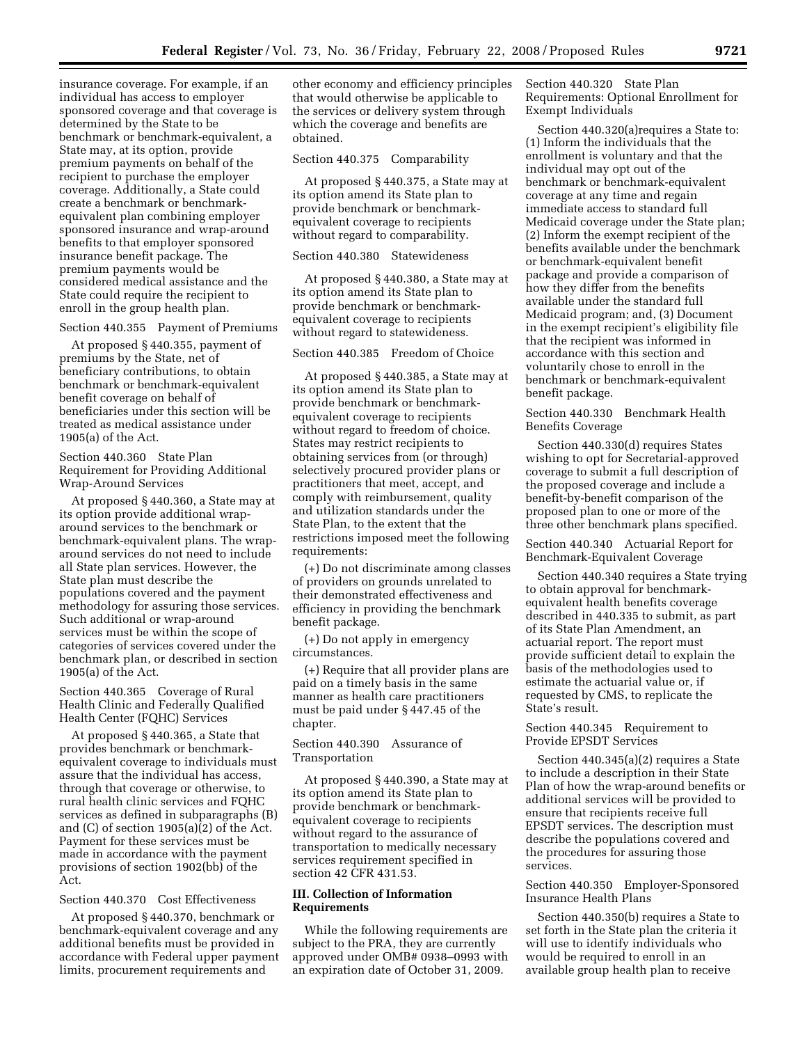insurance coverage. For example, if an individual has access to employer sponsored coverage and that coverage is determined by the State to be benchmark or benchmark-equivalent, a State may, at its option, provide premium payments on behalf of the recipient to purchase the employer coverage. Additionally, a State could create a benchmark or benchmarkequivalent plan combining employer sponsored insurance and wrap-around benefits to that employer sponsored insurance benefit package. The premium payments would be considered medical assistance and the State could require the recipient to enroll in the group health plan.

Section 440.355 Payment of Premiums

At proposed § 440.355, payment of premiums by the State, net of beneficiary contributions, to obtain benchmark or benchmark-equivalent benefit coverage on behalf of beneficiaries under this section will be treated as medical assistance under 1905(a) of the Act.

Section 440.360 State Plan Requirement for Providing Additional Wrap-Around Services

At proposed § 440.360, a State may at its option provide additional wraparound services to the benchmark or benchmark-equivalent plans. The wraparound services do not need to include all State plan services. However, the State plan must describe the populations covered and the payment methodology for assuring those services. Such additional or wrap-around services must be within the scope of categories of services covered under the benchmark plan, or described in section 1905(a) of the Act.

Section 440.365 Coverage of Rural Health Clinic and Federally Qualified Health Center (FQHC) Services

At proposed § 440.365, a State that provides benchmark or benchmarkequivalent coverage to individuals must assure that the individual has access, through that coverage or otherwise, to rural health clinic services and FQHC services as defined in subparagraphs (B) and (C) of section 1905(a)(2) of the Act. Payment for these services must be made in accordance with the payment provisions of section 1902(bb) of the Act.

Section 440.370 Cost Effectiveness

At proposed § 440.370, benchmark or benchmark-equivalent coverage and any additional benefits must be provided in accordance with Federal upper payment limits, procurement requirements and

other economy and efficiency principles that would otherwise be applicable to the services or delivery system through which the coverage and benefits are obtained.

Section 440.375 Comparability

At proposed § 440.375, a State may at its option amend its State plan to provide benchmark or benchmarkequivalent coverage to recipients without regard to comparability.

Section 440.380 Statewideness

At proposed § 440.380, a State may at its option amend its State plan to provide benchmark or benchmarkequivalent coverage to recipients without regard to statewideness.

Section 440.385 Freedom of Choice

At proposed § 440.385, a State may at its option amend its State plan to provide benchmark or benchmarkequivalent coverage to recipients without regard to freedom of choice. States may restrict recipients to obtaining services from (or through) selectively procured provider plans or practitioners that meet, accept, and comply with reimbursement, quality and utilization standards under the State Plan, to the extent that the restrictions imposed meet the following requirements:

(+) Do not discriminate among classes of providers on grounds unrelated to their demonstrated effectiveness and efficiency in providing the benchmark benefit package.

(+) Do not apply in emergency circumstances.

(+) Require that all provider plans are paid on a timely basis in the same manner as health care practitioners must be paid under § 447.45 of the chapter.

Section 440.390 Assurance of Transportation

At proposed § 440.390, a State may at its option amend its State plan to provide benchmark or benchmarkequivalent coverage to recipients without regard to the assurance of transportation to medically necessary services requirement specified in section 42 CFR 431.53.

# **III. Collection of Information Requirements**

While the following requirements are subject to the PRA, they are currently approved under OMB# 0938–0993 with an expiration date of October 31, 2009.

Section 440.320 State Plan Requirements: Optional Enrollment for Exempt Individuals

Section 440.320(a)requires a State to: (1) Inform the individuals that the enrollment is voluntary and that the individual may opt out of the benchmark or benchmark-equivalent coverage at any time and regain immediate access to standard full Medicaid coverage under the State plan; (2) Inform the exempt recipient of the benefits available under the benchmark or benchmark-equivalent benefit package and provide a comparison of how they differ from the benefits available under the standard full Medicaid program; and, (3) Document in the exempt recipient's eligibility file that the recipient was informed in accordance with this section and voluntarily chose to enroll in the benchmark or benchmark-equivalent benefit package.

Section 440.330 Benchmark Health Benefits Coverage

Section 440.330(d) requires States wishing to opt for Secretarial-approved coverage to submit a full description of the proposed coverage and include a benefit-by-benefit comparison of the proposed plan to one or more of the three other benchmark plans specified.

Section 440.340 Actuarial Report for Benchmark-Equivalent Coverage

Section 440.340 requires a State trying to obtain approval for benchmarkequivalent health benefits coverage described in 440.335 to submit, as part of its State Plan Amendment, an actuarial report. The report must provide sufficient detail to explain the basis of the methodologies used to estimate the actuarial value or, if requested by CMS, to replicate the State's result.

Section 440.345 Requirement to Provide EPSDT Services

Section 440.345(a)(2) requires a State to include a description in their State Plan of how the wrap-around benefits or additional services will be provided to ensure that recipients receive full EPSDT services. The description must describe the populations covered and the procedures for assuring those services.

# Section 440.350 Employer-Sponsored Insurance Health Plans

Section 440.350(b) requires a State to set forth in the State plan the criteria it will use to identify individuals who would be required to enroll in an available group health plan to receive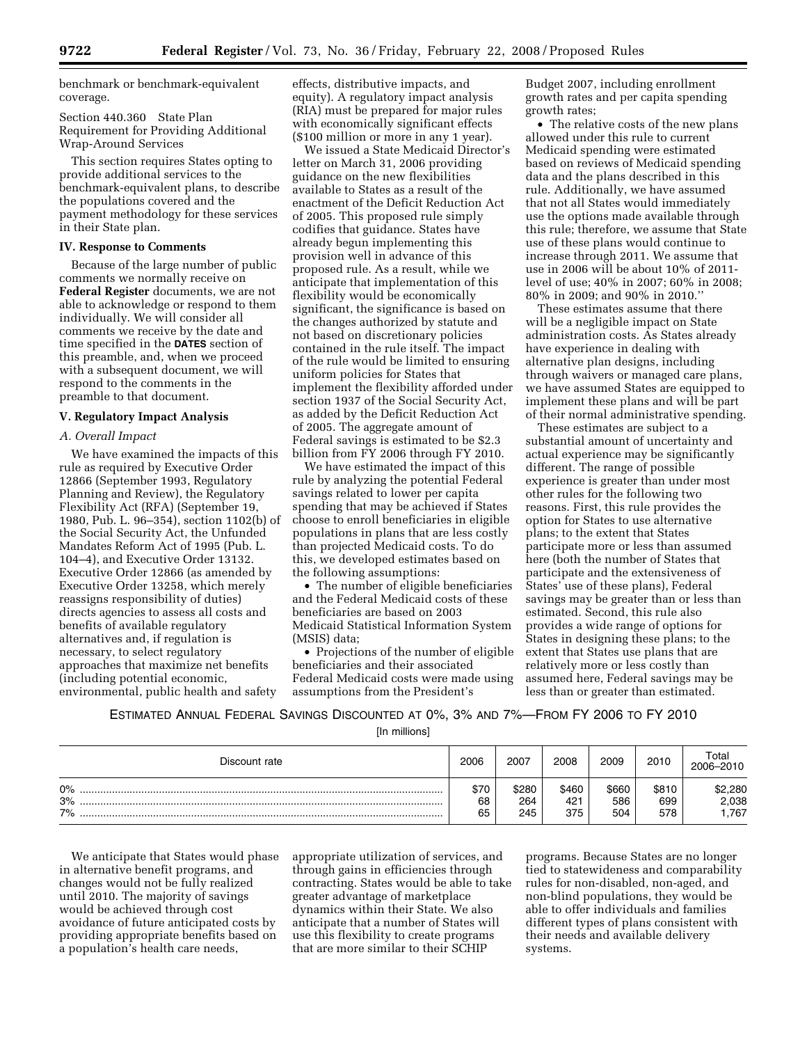benchmark or benchmark-equivalent coverage.

Section 440.360 State Plan Requirement for Providing Additional Wrap-Around Services

This section requires States opting to provide additional services to the benchmark-equivalent plans, to describe the populations covered and the payment methodology for these services in their State plan.

# **IV. Response to Comments**

Because of the large number of public comments we normally receive on **Federal Register** documents, we are not able to acknowledge or respond to them individually. We will consider all comments we receive by the date and time specified in the **DATES** section of this preamble, and, when we proceed with a subsequent document, we will respond to the comments in the preamble to that document.

#### **V. Regulatory Impact Analysis**

# *A. Overall Impact*

We have examined the impacts of this rule as required by Executive Order 12866 (September 1993, Regulatory Planning and Review), the Regulatory Flexibility Act (RFA) (September 19, 1980, Pub. L. 96–354), section 1102(b) of the Social Security Act, the Unfunded Mandates Reform Act of 1995 (Pub. L. 104–4), and Executive Order 13132. Executive Order 12866 (as amended by Executive Order 13258, which merely reassigns responsibility of duties) directs agencies to assess all costs and benefits of available regulatory alternatives and, if regulation is necessary, to select regulatory approaches that maximize net benefits (including potential economic, environmental, public health and safety

effects, distributive impacts, and equity). A regulatory impact analysis (RIA) must be prepared for major rules with economically significant effects (\$100 million or more in any 1 year).

We issued a State Medicaid Director's letter on March 31, 2006 providing guidance on the new flexibilities available to States as a result of the enactment of the Deficit Reduction Act of 2005. This proposed rule simply codifies that guidance. States have already begun implementing this provision well in advance of this proposed rule. As a result, while we anticipate that implementation of this flexibility would be economically significant, the significance is based on the changes authorized by statute and not based on discretionary policies contained in the rule itself. The impact of the rule would be limited to ensuring uniform policies for States that implement the flexibility afforded under section 1937 of the Social Security Act, as added by the Deficit Reduction Act of 2005. The aggregate amount of Federal savings is estimated to be \$2.3 billion from FY 2006 through FY 2010.

We have estimated the impact of this rule by analyzing the potential Federal savings related to lower per capita spending that may be achieved if States choose to enroll beneficiaries in eligible populations in plans that are less costly than projected Medicaid costs. To do this, we developed estimates based on the following assumptions:

• The number of eligible beneficiaries and the Federal Medicaid costs of these beneficiaries are based on 2003 Medicaid Statistical Information System (MSIS) data;

• Projections of the number of eligible beneficiaries and their associated Federal Medicaid costs were made using assumptions from the President's

Budget 2007, including enrollment growth rates and per capita spending growth rates;

• The relative costs of the new plans allowed under this rule to current Medicaid spending were estimated based on reviews of Medicaid spending data and the plans described in this rule. Additionally, we have assumed that not all States would immediately use the options made available through this rule; therefore, we assume that State use of these plans would continue to increase through 2011. We assume that use in 2006 will be about 10% of 2011 level of use; 40% in 2007; 60% in 2008; 80% in 2009; and 90% in 2010.''

These estimates assume that there will be a negligible impact on State administration costs. As States already have experience in dealing with alternative plan designs, including through waivers or managed care plans, we have assumed States are equipped to implement these plans and will be part of their normal administrative spending.

These estimates are subject to a substantial amount of uncertainty and actual experience may be significantly different. The range of possible experience is greater than under most other rules for the following two reasons. First, this rule provides the option for States to use alternative plans; to the extent that States participate more or less than assumed here (both the number of States that participate and the extensiveness of States' use of these plans), Federal savings may be greater than or less than estimated. Second, this rule also provides a wide range of options for States in designing these plans; to the extent that States use plans that are relatively more or less costly than assumed here, Federal savings may be less than or greater than estimated.

ESTIMATED ANNUAL FEDERAL SAVINGS DISCOUNTED AT 0%, 3% AND 7%—FROM FY 2006 TO FY 2010

[In millions]

| Discount rate     | 2006             | 2007                | 2008                | 2009                | 2010                | ⊺otal<br>2006-2010       |
|-------------------|------------------|---------------------|---------------------|---------------------|---------------------|--------------------------|
| $0\%$<br>3%<br>7% | \$70<br>68<br>65 | \$280<br>264<br>245 | \$460<br>421<br>375 | \$660<br>586<br>504 | \$810<br>699<br>578 | \$2,280<br>2,038<br>.767 |

We anticipate that States would phase in alternative benefit programs, and changes would not be fully realized until 2010. The majority of savings would be achieved through cost avoidance of future anticipated costs by providing appropriate benefits based on a population's health care needs,

appropriate utilization of services, and through gains in efficiencies through contracting. States would be able to take greater advantage of marketplace dynamics within their State. We also anticipate that a number of States will use this flexibility to create programs that are more similar to their SCHIP

programs. Because States are no longer tied to statewideness and comparability rules for non-disabled, non-aged, and non-blind populations, they would be able to offer individuals and families different types of plans consistent with their needs and available delivery systems.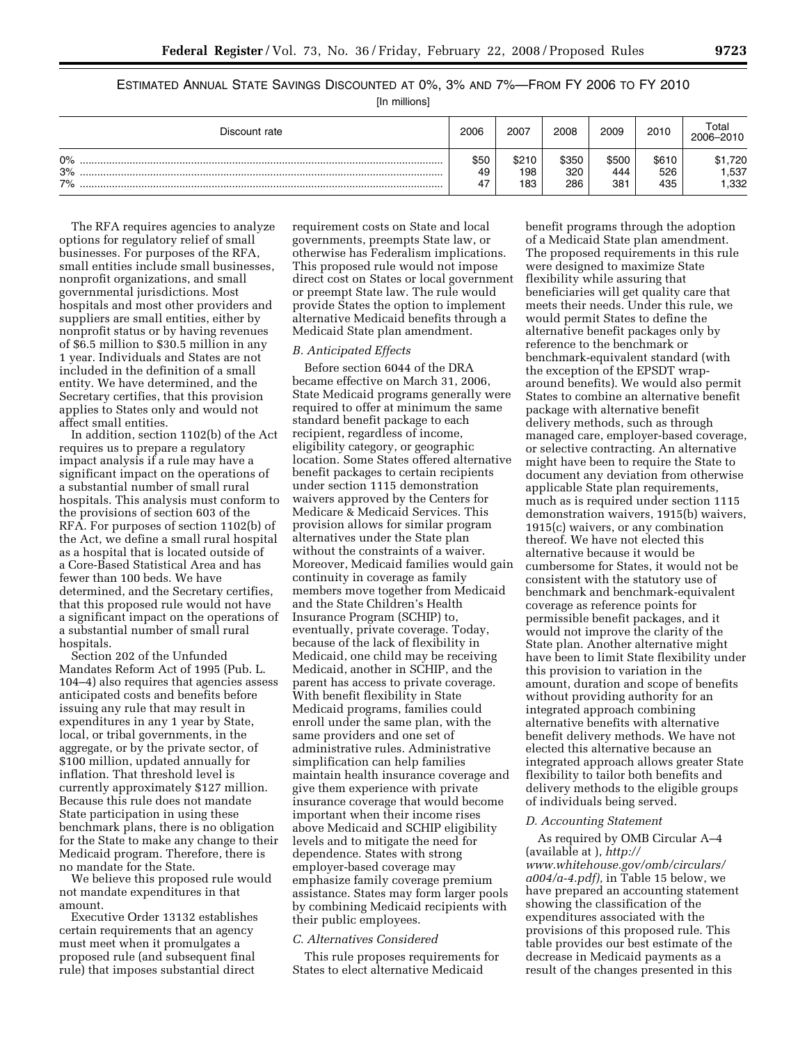# ESTIMATED ANNUAL STATE SAVINGS DISCOUNTED AT 0%, 3% AND 7%—FROM FY 2006 TO FY 2010

[In millions]

| Discount rate     | 2006             | 2007                | 2008                | 2009                | 2010                | Total<br>2006-2010      |
|-------------------|------------------|---------------------|---------------------|---------------------|---------------------|-------------------------|
| $0\%$<br>3%<br>7% | \$50<br>49<br>47 | \$210<br>198<br>183 | \$350<br>320<br>286 | \$500<br>444<br>381 | \$610<br>526<br>435 | \$1,720<br>.537<br>,332 |

The RFA requires agencies to analyze options for regulatory relief of small businesses. For purposes of the RFA, small entities include small businesses, nonprofit organizations, and small governmental jurisdictions. Most hospitals and most other providers and suppliers are small entities, either by nonprofit status or by having revenues of \$6.5 million to \$30.5 million in any 1 year. Individuals and States are not included in the definition of a small entity. We have determined, and the Secretary certifies, that this provision applies to States only and would not affect small entities.

In addition, section 1102(b) of the Act requires us to prepare a regulatory impact analysis if a rule may have a significant impact on the operations of a substantial number of small rural hospitals. This analysis must conform to the provisions of section 603 of the RFA. For purposes of section 1102(b) of the Act, we define a small rural hospital as a hospital that is located outside of a Core-Based Statistical Area and has fewer than 100 beds. We have determined, and the Secretary certifies, that this proposed rule would not have a significant impact on the operations of a substantial number of small rural hospitals.

Section 202 of the Unfunded Mandates Reform Act of 1995 (Pub. L. 104–4) also requires that agencies assess anticipated costs and benefits before issuing any rule that may result in expenditures in any 1 year by State, local, or tribal governments, in the aggregate, or by the private sector, of \$100 million, updated annually for inflation. That threshold level is currently approximately \$127 million. Because this rule does not mandate State participation in using these benchmark plans, there is no obligation for the State to make any change to their Medicaid program. Therefore, there is no mandate for the State.

We believe this proposed rule would not mandate expenditures in that amount.

Executive Order 13132 establishes certain requirements that an agency must meet when it promulgates a proposed rule (and subsequent final rule) that imposes substantial direct

requirement costs on State and local governments, preempts State law, or otherwise has Federalism implications. This proposed rule would not impose direct cost on States or local government or preempt State law. The rule would provide States the option to implement alternative Medicaid benefits through a Medicaid State plan amendment.

# *B. Anticipated Effects*

Before section 6044 of the DRA became effective on March 31, 2006, State Medicaid programs generally were required to offer at minimum the same standard benefit package to each recipient, regardless of income, eligibility category, or geographic location. Some States offered alternative benefit packages to certain recipients under section 1115 demonstration waivers approved by the Centers for Medicare & Medicaid Services. This provision allows for similar program alternatives under the State plan without the constraints of a waiver. Moreover, Medicaid families would gain continuity in coverage as family members move together from Medicaid and the State Children's Health Insurance Program (SCHIP) to, eventually, private coverage. Today, because of the lack of flexibility in Medicaid, one child may be receiving Medicaid, another in SCHIP, and the parent has access to private coverage. With benefit flexibility in State Medicaid programs, families could enroll under the same plan, with the same providers and one set of administrative rules. Administrative simplification can help families maintain health insurance coverage and give them experience with private insurance coverage that would become important when their income rises above Medicaid and SCHIP eligibility levels and to mitigate the need for dependence. States with strong employer-based coverage may emphasize family coverage premium assistance. States may form larger pools by combining Medicaid recipients with their public employees.

#### *C. Alternatives Considered*

This rule proposes requirements for States to elect alternative Medicaid

benefit programs through the adoption of a Medicaid State plan amendment. The proposed requirements in this rule were designed to maximize State flexibility while assuring that beneficiaries will get quality care that meets their needs. Under this rule, we would permit States to define the alternative benefit packages only by reference to the benchmark or benchmark-equivalent standard (with the exception of the EPSDT wraparound benefits). We would also permit States to combine an alternative benefit package with alternative benefit delivery methods, such as through managed care, employer-based coverage, or selective contracting. An alternative might have been to require the State to document any deviation from otherwise applicable State plan requirements, much as is required under section 1115 demonstration waivers, 1915(b) waivers, 1915(c) waivers, or any combination thereof. We have not elected this alternative because it would be cumbersome for States, it would not be consistent with the statutory use of benchmark and benchmark-equivalent coverage as reference points for permissible benefit packages, and it would not improve the clarity of the State plan. Another alternative might have been to limit State flexibility under this provision to variation in the amount, duration and scope of benefits without providing authority for an integrated approach combining alternative benefits with alternative benefit delivery methods. We have not elected this alternative because an integrated approach allows greater State flexibility to tailor both benefits and delivery methods to the eligible groups of individuals being served.

### *D. Accounting Statement*

As required by OMB Circular A–4 (available at ), *http:// www.whitehouse.gov/omb/circulars/ a004/a-4.pdf),* in Table 15 below, we have prepared an accounting statement showing the classification of the expenditures associated with the provisions of this proposed rule. This table provides our best estimate of the decrease in Medicaid payments as a result of the changes presented in this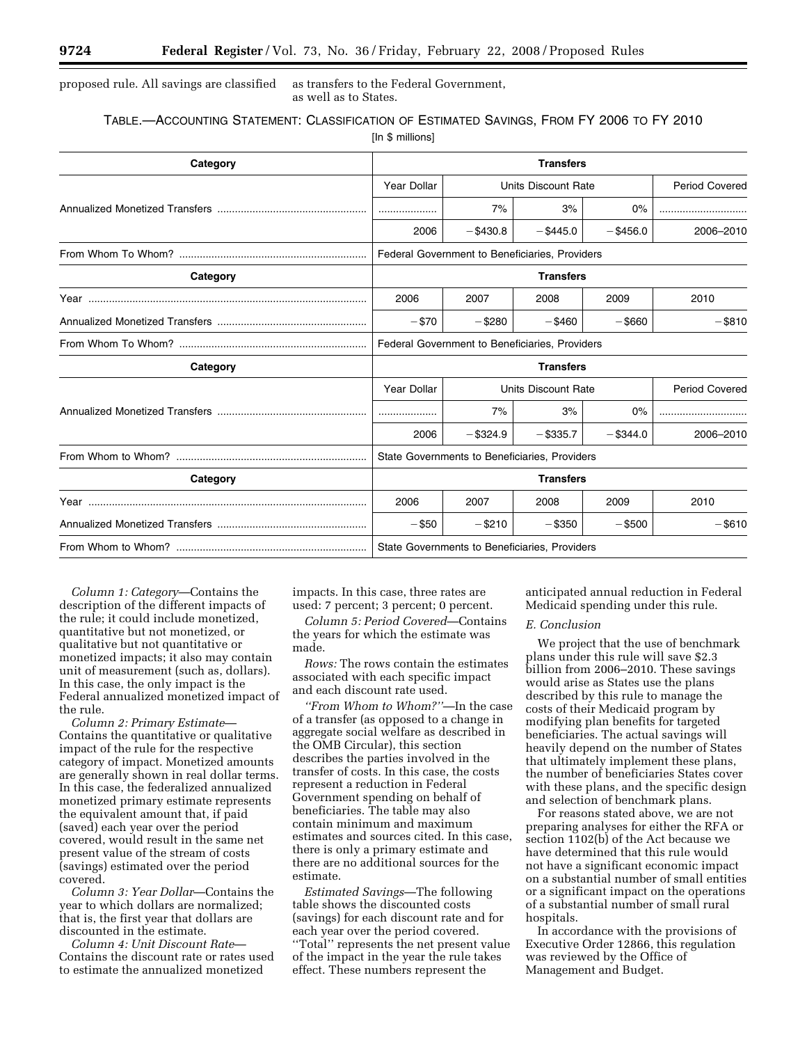# proposed rule. All savings are classified as transfers to the Federal Government, as well as to States.

| TABLE.- ACCOUNTING STATEMENT: CLASSIFICATION OF ESTIMATED SAVINGS, FROM FY 2006 TO FY 2010 |  |  |  |
|--------------------------------------------------------------------------------------------|--|--|--|
|                                                                                            |  |  |  |

[In \$ millions]

| Category | <b>Transfers</b>                               |                            |             |             |                       |  |  |
|----------|------------------------------------------------|----------------------------|-------------|-------------|-----------------------|--|--|
|          | Year Dollar                                    | <b>Units Discount Rate</b> |             |             | <b>Period Covered</b> |  |  |
|          |                                                | 7%                         | 3%          | 0%          |                       |  |  |
|          | 2006                                           | $-$ \$430.8                | $-$ \$445.0 | $-$ \$456.0 | 2006-2010             |  |  |
|          | Federal Government to Beneficiaries, Providers |                            |             |             |                       |  |  |
| Category | <b>Transfers</b>                               |                            |             |             |                       |  |  |
|          | 2006                                           | 2007                       | 2008        | 2009        | 2010                  |  |  |
|          | $- $70$                                        | $-$ \$280                  | $-$ \$460   | $-$ \$660   | $-$ \$810             |  |  |
|          | Federal Government to Beneficiaries, Providers |                            |             |             |                       |  |  |
| Category | <b>Transfers</b>                               |                            |             |             |                       |  |  |
|          | Year Dollar<br><b>Units Discount Rate</b>      |                            |             |             | <b>Period Covered</b> |  |  |
|          |                                                | 7%                         | 3%          | $0\%$       |                       |  |  |
|          | 2006                                           | $-$ \$324.9                | $-$ \$335.7 | $-$ \$344.0 | 2006-2010             |  |  |
|          | State Governments to Beneficiaries, Providers  |                            |             |             |                       |  |  |
| Category | <b>Transfers</b>                               |                            |             |             |                       |  |  |
|          | 2006                                           | 2007                       | 2008        | 2009        | 2010                  |  |  |
|          | $-$ \$50                                       | $-$ \$210                  | $-$ \$350   | $-$ \$500   | $-$ \$610             |  |  |
|          | State Governments to Beneficiaries, Providers  |                            |             |             |                       |  |  |

*Column 1: Category*—Contains the description of the different impacts of the rule; it could include monetized, quantitative but not monetized, or qualitative but not quantitative or monetized impacts; it also may contain unit of measurement (such as, dollars). In this case, the only impact is the Federal annualized monetized impact of the rule.

*Column 2: Primary Estimate*— Contains the quantitative or qualitative impact of the rule for the respective category of impact. Monetized amounts are generally shown in real dollar terms. In this case, the federalized annualized monetized primary estimate represents the equivalent amount that, if paid (saved) each year over the period covered, would result in the same net present value of the stream of costs (savings) estimated over the period covered.

*Column 3: Year Dollar*—Contains the year to which dollars are normalized; that is, the first year that dollars are discounted in the estimate.

*Column 4: Unit Discount Rate*— Contains the discount rate or rates used to estimate the annualized monetized

impacts. In this case, three rates are used: 7 percent; 3 percent; 0 percent.

*Column 5: Period Covered*—Contains the years for which the estimate was made.

*Rows:* The rows contain the estimates associated with each specific impact and each discount rate used.

*''From Whom to Whom?''*—In the case of a transfer (as opposed to a change in aggregate social welfare as described in the OMB Circular), this section describes the parties involved in the transfer of costs. In this case, the costs represent a reduction in Federal Government spending on behalf of beneficiaries. The table may also contain minimum and maximum estimates and sources cited. In this case, there is only a primary estimate and there are no additional sources for the estimate.

*Estimated Savings*—The following table shows the discounted costs (savings) for each discount rate and for each year over the period covered. ''Total'' represents the net present value of the impact in the year the rule takes effect. These numbers represent the

anticipated annual reduction in Federal Medicaid spending under this rule.

### *E. Conclusion*

We project that the use of benchmark plans under this rule will save \$2.3 billion from 2006–2010. These savings would arise as States use the plans described by this rule to manage the costs of their Medicaid program by modifying plan benefits for targeted beneficiaries. The actual savings will heavily depend on the number of States that ultimately implement these plans, the number of beneficiaries States cover with these plans, and the specific design and selection of benchmark plans.

For reasons stated above, we are not preparing analyses for either the RFA or section 1102(b) of the Act because we have determined that this rule would not have a significant economic impact on a substantial number of small entities or a significant impact on the operations of a substantial number of small rural hospitals.

In accordance with the provisions of Executive Order 12866, this regulation was reviewed by the Office of Management and Budget.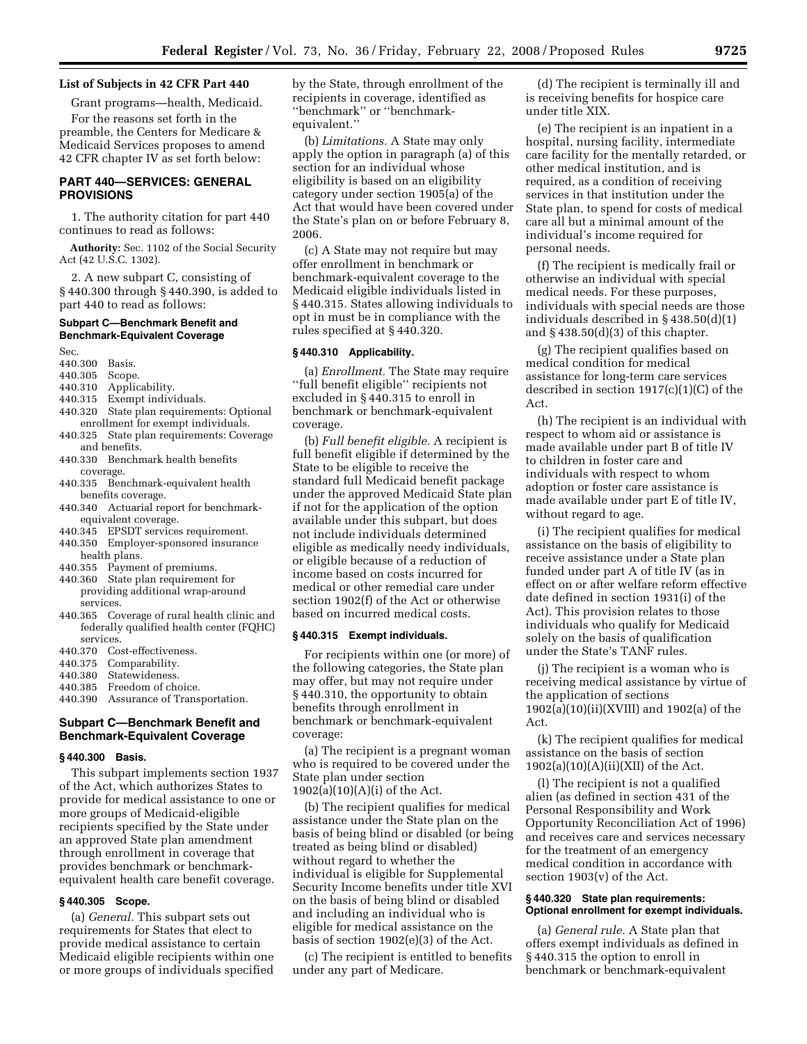### **List of Subjects in 42 CFR Part 440**

Grant programs—health, Medicaid. For the reasons set forth in the preamble, the Centers for Medicare & Medicaid Services proposes to amend 42 CFR chapter IV as set forth below:

# **PART 440—SERVICES: GENERAL PROVISIONS**

1. The authority citation for part 440 continues to read as follows:

**Authority:** Sec. 1102 of the Social Security Act (42 U.S.C. 1302).

2. A new subpart C, consisting of § 440.300 through § 440.390, is added to part 440 to read as follows:

# **Subpart C—Benchmark Benefit and Benchmark-Equivalent Coverage**

Sec.

- 440.300 Basis.
- 440.305 Scope.
- 440.310 Applicability.
- 440.315 Exempt individuals.
- 440.320 State plan requirements: Optional enrollment for exempt individuals.
- 440.325 State plan requirements: Coverage and benefits.
- 440.330 Benchmark health benefits coverage.
- 440.335 Benchmark-equivalent health benefits coverage.
- 440.340 Actuarial report for benchmarkequivalent coverage.
- 440.345 EPSDT services requirement.
- 440.350 Employer-sponsored insurance health plans.
- 440.355 Payment of premiums.
- 440.360 State plan requirement for providing additional wrap-around services.
- 440.365 Coverage of rural health clinic and federally qualified health center (FQHC) services<br>440.370 Co
- Cost-effectiveness.
- 440.375 Comparability.
- 440.380 Statewideness.
- 440.385 Freedom of choice.
- 440.390 Assurance of Transportation.

# **Subpart C—Benchmark Benefit and Benchmark-Equivalent Coverage**

## **§ 440.300 Basis.**

This subpart implements section 1937 of the Act, which authorizes States to provide for medical assistance to one or more groups of Medicaid-eligible recipients specified by the State under an approved State plan amendment through enrollment in coverage that provides benchmark or benchmarkequivalent health care benefit coverage.

# **§ 440.305 Scope.**

(a) *General.* This subpart sets out requirements for States that elect to provide medical assistance to certain Medicaid eligible recipients within one or more groups of individuals specified by the State, through enrollment of the recipients in coverage, identified as ''benchmark'' or ''benchmarkequivalent.''

(b) *Limitations.* A State may only apply the option in paragraph (a) of this section for an individual whose eligibility is based on an eligibility category under section 1905(a) of the Act that would have been covered under the State's plan on or before February 8, 2006.

(c) A State may not require but may offer enrollment in benchmark or benchmark-equivalent coverage to the Medicaid eligible individuals listed in § 440.315. States allowing individuals to opt in must be in compliance with the rules specified at § 440.320.

# **§ 440.310 Applicability.**

(a) *Enrollment.* The State may require ''full benefit eligible'' recipients not excluded in § 440.315 to enroll in benchmark or benchmark-equivalent coverage.

(b) *Full benefit eligible.* A recipient is full benefit eligible if determined by the State to be eligible to receive the standard full Medicaid benefit package under the approved Medicaid State plan if not for the application of the option available under this subpart, but does not include individuals determined eligible as medically needy individuals, or eligible because of a reduction of income based on costs incurred for medical or other remedial care under section 1902(f) of the Act or otherwise based on incurred medical costs.

### **§ 440.315 Exempt individuals.**

For recipients within one (or more) of the following categories, the State plan may offer, but may not require under § 440.310, the opportunity to obtain benefits through enrollment in benchmark or benchmark-equivalent coverage:

(a) The recipient is a pregnant woman who is required to be covered under the State plan under section 1902(a)(10)(A)(i) of the Act.

(b) The recipient qualifies for medical assistance under the State plan on the basis of being blind or disabled (or being treated as being blind or disabled) without regard to whether the individual is eligible for Supplemental Security Income benefits under title XVI on the basis of being blind or disabled and including an individual who is eligible for medical assistance on the basis of section 1902(e)(3) of the Act.

(c) The recipient is entitled to benefits under any part of Medicare.

(d) The recipient is terminally ill and is receiving benefits for hospice care under title XIX.

(e) The recipient is an inpatient in a hospital, nursing facility, intermediate care facility for the mentally retarded, or other medical institution, and is required, as a condition of receiving services in that institution under the State plan, to spend for costs of medical care all but a minimal amount of the individual's income required for personal needs.

(f) The recipient is medically frail or otherwise an individual with special medical needs. For these purposes, individuals with special needs are those individuals described in § 438.50(d)(1) and  $§$  438.50(d)(3) of this chapter.

(g) The recipient qualifies based on medical condition for medical assistance for long-term care services described in section 1917(c)(1)(C) of the Act.

(h) The recipient is an individual with respect to whom aid or assistance is made available under part B of title IV to children in foster care and individuals with respect to whom adoption or foster care assistance is made available under part E of title IV, without regard to age.

(i) The recipient qualifies for medical assistance on the basis of eligibility to receive assistance under a State plan funded under part A of title IV (as in effect on or after welfare reform effective date defined in section 1931(i) of the Act). This provision relates to those individuals who qualify for Medicaid solely on the basis of qualification under the State's TANF rules.

(j) The recipient is a woman who is receiving medical assistance by virtue of the application of sections 1902(a)(10)(ii)(XVIII) and 1902(a) of the Act.

(k) The recipient qualifies for medical assistance on the basis of section  $1902(a)(10)(A)(ii)(XII)$  of the Act.

(l) The recipient is not a qualified alien (as defined in section 431 of the Personal Responsibility and Work Opportunity Reconciliation Act of 1996) and receives care and services necessary for the treatment of an emergency medical condition in accordance with section 1903(v) of the Act.

### **§ 440.320 State plan requirements: Optional enrollment for exempt individuals.**

(a) *General rule.* A State plan that offers exempt individuals as defined in § 440.315 the option to enroll in benchmark or benchmark-equivalent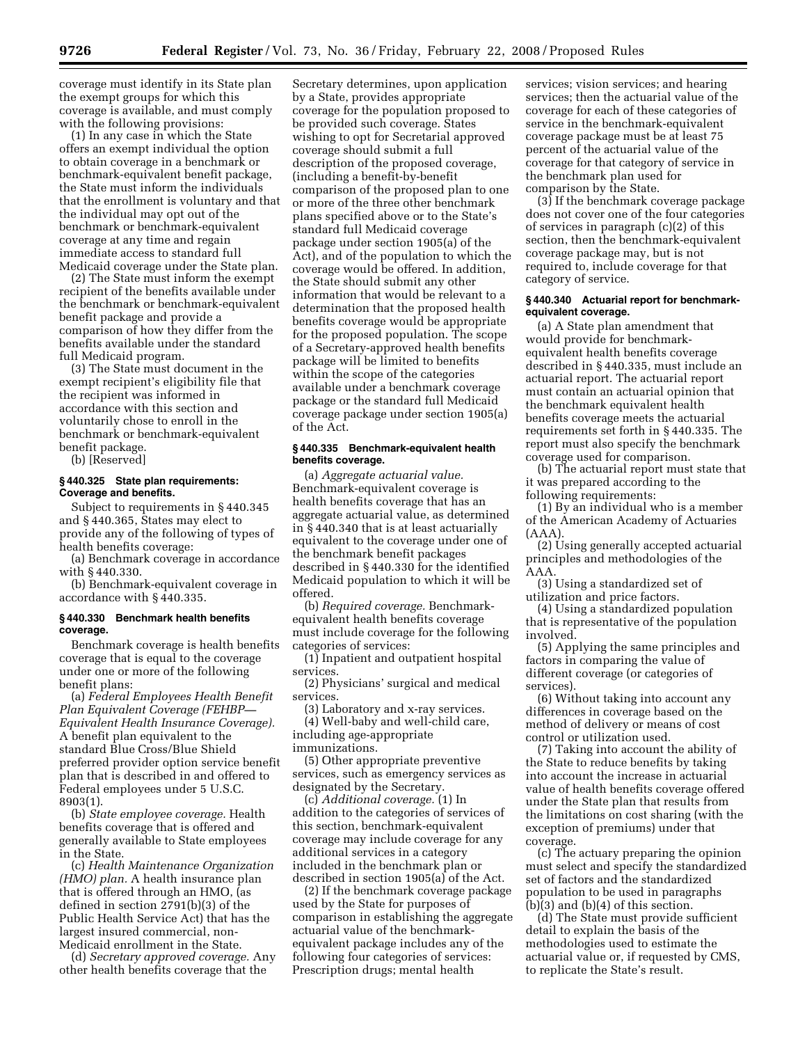coverage must identify in its State plan the exempt groups for which this coverage is available, and must comply with the following provisions:

(1) In any case in which the State offers an exempt individual the option to obtain coverage in a benchmark or benchmark-equivalent benefit package, the State must inform the individuals that the enrollment is voluntary and that the individual may opt out of the benchmark or benchmark-equivalent coverage at any time and regain immediate access to standard full Medicaid coverage under the State plan.

(2) The State must inform the exempt recipient of the benefits available under the benchmark or benchmark-equivalent benefit package and provide a comparison of how they differ from the benefits available under the standard full Medicaid program.

(3) The State must document in the exempt recipient's eligibility file that the recipient was informed in accordance with this section and voluntarily chose to enroll in the benchmark or benchmark-equivalent benefit package.

(b) [Reserved]

# **§ 440.325 State plan requirements: Coverage and benefits.**

Subject to requirements in § 440.345 and § 440.365, States may elect to provide any of the following of types of health benefits coverage:

(a) Benchmark coverage in accordance with § 440.330.

(b) Benchmark-equivalent coverage in accordance with § 440.335.

### **§ 440.330 Benchmark health benefits coverage.**

Benchmark coverage is health benefits coverage that is equal to the coverage under one or more of the following benefit plans:

(a) *Federal Employees Health Benefit Plan Equivalent Coverage (FEHBP— Equivalent Health Insurance Coverage).*  A benefit plan equivalent to the standard Blue Cross/Blue Shield preferred provider option service benefit plan that is described in and offered to Federal employees under 5 U.S.C. 8903(1).

(b) *State employee coverage.* Health benefits coverage that is offered and generally available to State employees in the State.

(c) *Health Maintenance Organization (HMO) plan.* A health insurance plan that is offered through an HMO, (as defined in section 2791(b)(3) of the Public Health Service Act) that has the largest insured commercial, non-Medicaid enrollment in the State.

(d) *Secretary approved coverage.* Any other health benefits coverage that the

Secretary determines, upon application by a State, provides appropriate coverage for the population proposed to be provided such coverage. States wishing to opt for Secretarial approved coverage should submit a full description of the proposed coverage, (including a benefit-by-benefit comparison of the proposed plan to one or more of the three other benchmark plans specified above or to the State's standard full Medicaid coverage package under section 1905(a) of the Act), and of the population to which the coverage would be offered. In addition, the State should submit any other information that would be relevant to a determination that the proposed health benefits coverage would be appropriate for the proposed population. The scope of a Secretary-approved health benefits package will be limited to benefits within the scope of the categories available under a benchmark coverage package or the standard full Medicaid coverage package under section 1905(a) of the Act.

# **§ 440.335 Benchmark-equivalent health benefits coverage.**

(a) *Aggregate actuarial value.*  Benchmark-equivalent coverage is health benefits coverage that has an aggregate actuarial value, as determined in § 440.340 that is at least actuarially equivalent to the coverage under one of the benchmark benefit packages described in § 440.330 for the identified Medicaid population to which it will be offered.

(b) *Required coverage.* Benchmarkequivalent health benefits coverage must include coverage for the following categories of services:

(1) Inpatient and outpatient hospital services.

(2) Physicians' surgical and medical services.

(3) Laboratory and x-ray services.

(4) Well-baby and well-child care, including age-appropriate immunizations.

(5) Other appropriate preventive services, such as emergency services as designated by the Secretary.

(c) *Additional coverage.* (1) In addition to the categories of services of this section, benchmark-equivalent coverage may include coverage for any additional services in a category included in the benchmark plan or described in section 1905(a) of the Act.

(2) If the benchmark coverage package used by the State for purposes of comparison in establishing the aggregate actuarial value of the benchmarkequivalent package includes any of the following four categories of services: Prescription drugs; mental health

services; vision services; and hearing services; then the actuarial value of the coverage for each of these categories of service in the benchmark-equivalent coverage package must be at least 75 percent of the actuarial value of the coverage for that category of service in the benchmark plan used for comparison by the State.

(3) If the benchmark coverage package does not cover one of the four categories of services in paragraph (c)(2) of this section, then the benchmark-equivalent coverage package may, but is not required to, include coverage for that category of service.

### **§ 440.340 Actuarial report for benchmarkequivalent coverage.**

(a) A State plan amendment that would provide for benchmarkequivalent health benefits coverage described in § 440.335, must include an actuarial report. The actuarial report must contain an actuarial opinion that the benchmark equivalent health benefits coverage meets the actuarial requirements set forth in § 440.335. The report must also specify the benchmark coverage used for comparison.

(b) The actuarial report must state that it was prepared according to the following requirements:

(1) By an individual who is a member of the American Academy of Actuaries (AAA).

(2) Using generally accepted actuarial principles and methodologies of the AAA.

(3) Using a standardized set of utilization and price factors.

(4) Using a standardized population that is representative of the population involved.

(5) Applying the same principles and factors in comparing the value of different coverage (or categories of services).

(6) Without taking into account any differences in coverage based on the method of delivery or means of cost control or utilization used.

(7) Taking into account the ability of the State to reduce benefits by taking into account the increase in actuarial value of health benefits coverage offered under the State plan that results from the limitations on cost sharing (with the exception of premiums) under that coverage.

(c) The actuary preparing the opinion must select and specify the standardized set of factors and the standardized population to be used in paragraphs  $(b)(3)$  and  $(b)(4)$  of this section.

(d) The State must provide sufficient detail to explain the basis of the methodologies used to estimate the actuarial value or, if requested by CMS, to replicate the State's result.